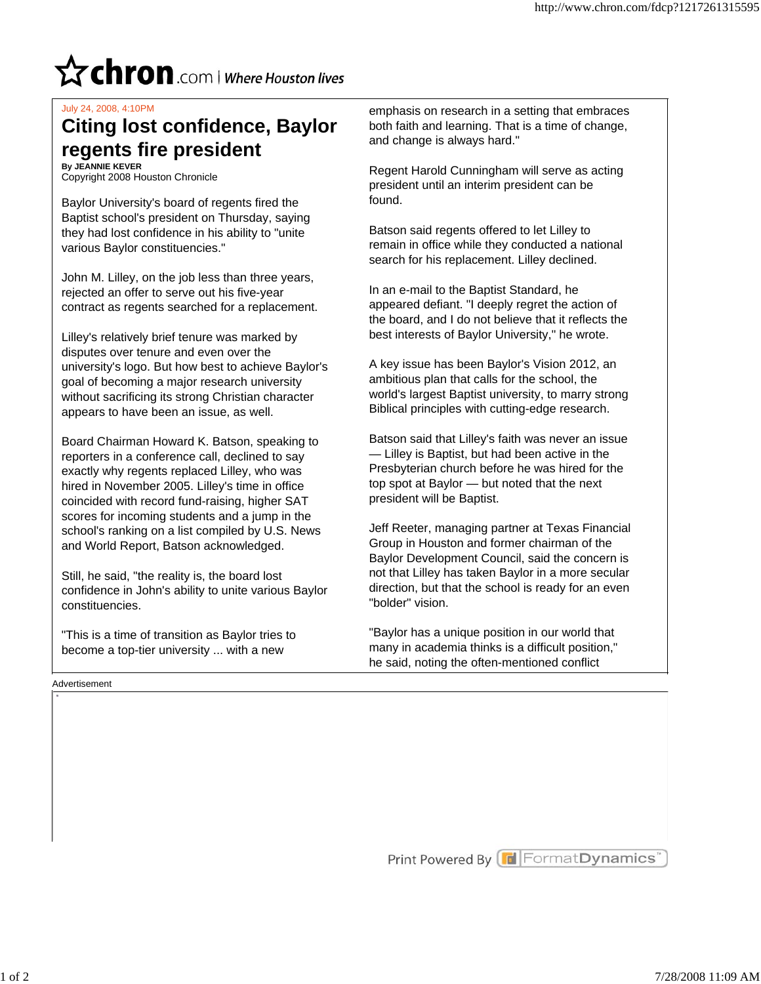## $\mathbf{\hat{x}}$  chron .com | Where Houston lives

## July 24, 2008, 4:10PM

## **regents fire president Citing lost confidence, Baylor By JEANNIE KEVER**

Copyright 2008 Houston Chronicle

various Baylor constituencies." they had lost confidence in his ability to "unite Baptist school's president on Thursday, saying Baylor University's board of regents fired the

contract as regents searched for a replacement. rejected an offer to serve out his five-year John M. Lilley, on the job less than three years,

appears to have been an issue, as well. without sacrificing its strong Christian character goal of becoming a major research university university's logo. But how best to achieve Baylor's disputes over tenure and even over the Lilley's relatively brief tenure was marked by

and World Report, Batson acknowledged. school's ranking on a list compiled by U.S. News scores for incoming students and a jump in the coincided with record fund-raising, higher SAT hired in November 2005. Lilley's time in office exactly why regents replaced Lilley, who was reporters in a conference call, declined to say Board Chairman Howard K. Batson, speaking to

constituencies. confidence in John's ability to unite various Baylor Still, he said, "the reality is, the board lost

become a top-tier university ... with a new "This is a time of transition as Baylor tries to

and change is always hard." both faith and learning. That is a time of change, emphasis on research in a setting that embraces

found. president until an interim president can be Regent Harold Cunningham will serve as acting

search for his replacement. Lilley declined. remain in office while they conducted a national Batson said regents offered to let Lilley to

best interests of Baylor University," he wrote. the board, and I do not believe that it reflects the appeared defiant. "I deeply regret the action of In an e-mail to the Baptist Standard, he

Biblical principles with cutting-edge research. world's largest Baptist university, to marry strong ambitious plan that calls for the school, the A key issue has been Baylor's Vision 2012, an

president will be Baptist. top spot at Baylor — but noted that the next Presbyterian church before he was hired for the — Lilley is Baptist, but had been active in the Batson said that Lilley's faith was never an issue

"bolder" vision. direction, but that the school is ready for an even not that Lilley has taken Baylor in a more secular Baylor Development Council, said the concern is Group in Houston and former chairman of the Jeff Reeter, managing partner at Texas Financial

he said, noting the often-mentioned conflict many in academia thinks is a difficult position," "Baylor has a unique position in our world that

Advertisement

Print Powered By Format Dynamics